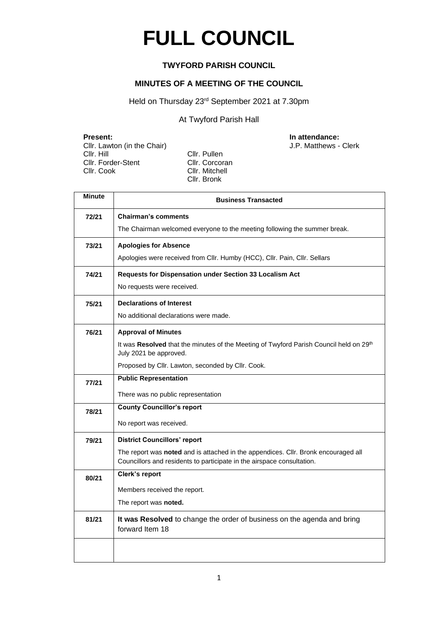# **FULL COUNCIL**

### **TWYFORD PARISH COUNCIL**

#### **MINUTES OF A MEETING OF THE COUNCIL**

Held on Thursday 23<sup>rd</sup> September 2021 at 7.30pm

At Twyford Parish Hall

Cllr. Lawton (in the Chair)<br>Cllr. Hill Cllr. Forder-Stent Cllr. Corcoran Cllr. Cook Cllr. Mitchell

Cllr. Pullen Cllr. Bronk

**Present: Clir.** Lawton (in the Chair) **In attendance: In attendance: Clir.** Lawton (in the Chair) **In attendance:** J.P. Matthews - Clerk

| Minute | <b>Business Transacted</b>                                                                                                                                   |
|--------|--------------------------------------------------------------------------------------------------------------------------------------------------------------|
| 72/21  | <b>Chairman's comments</b>                                                                                                                                   |
|        | The Chairman welcomed everyone to the meeting following the summer break.                                                                                    |
| 73/21  | <b>Apologies for Absence</b>                                                                                                                                 |
|        | Apologies were received from Cllr. Humby (HCC), Cllr. Pain, Cllr. Sellars                                                                                    |
| 74/21  | Requests for Dispensation under Section 33 Localism Act                                                                                                      |
|        | No requests were received.                                                                                                                                   |
| 75/21  | <b>Declarations of Interest</b>                                                                                                                              |
|        | No additional declarations were made.                                                                                                                        |
| 76/21  | <b>Approval of Minutes</b>                                                                                                                                   |
|        | It was Resolved that the minutes of the Meeting of Twyford Parish Council held on 29 <sup>th</sup><br>July 2021 be approved.                                 |
|        | Proposed by Cllr. Lawton, seconded by Cllr. Cook.                                                                                                            |
| 77/21  | <b>Public Representation</b>                                                                                                                                 |
|        | There was no public representation                                                                                                                           |
| 78/21  | <b>County Councillor's report</b>                                                                                                                            |
|        | No report was received.                                                                                                                                      |
| 79/21  | <b>District Councillors' report</b>                                                                                                                          |
|        | The report was noted and is attached in the appendices. Cllr. Bronk encouraged all<br>Councillors and residents to participate in the airspace consultation. |
| 80/21  | Clerk's report                                                                                                                                               |
|        | Members received the report.                                                                                                                                 |
|        | The report was <b>noted</b> .                                                                                                                                |
| 81/21  | It was Resolved to change the order of business on the agenda and bring<br>forward Item 18                                                                   |
|        |                                                                                                                                                              |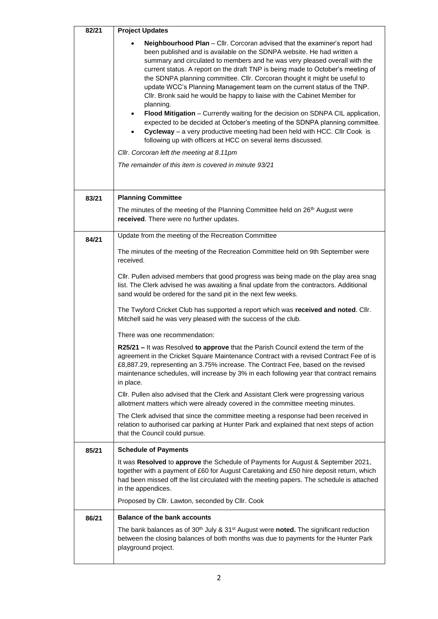| 82/21 | <b>Project Updates</b>                                                                                                                                                                                                                                                                                                                                                                                                                                                                                                                                                                                                                                                                                                                                                                                                                                                                                                                                                                                      |
|-------|-------------------------------------------------------------------------------------------------------------------------------------------------------------------------------------------------------------------------------------------------------------------------------------------------------------------------------------------------------------------------------------------------------------------------------------------------------------------------------------------------------------------------------------------------------------------------------------------------------------------------------------------------------------------------------------------------------------------------------------------------------------------------------------------------------------------------------------------------------------------------------------------------------------------------------------------------------------------------------------------------------------|
|       | Neighbourhood Plan - Cllr. Corcoran advised that the examiner's report had<br>been published and is available on the SDNPA website. He had written a<br>summary and circulated to members and he was very pleased overall with the<br>current status. A report on the draft TNP is being made to October's meeting of<br>the SDNPA planning committee. Cllr. Corcoran thought it might be useful to<br>update WCC's Planning Management team on the current status of the TNP.<br>Cllr. Bronk said he would be happy to liaise with the Cabinet Member for<br>planning.<br>Flood Mitigation - Currently waiting for the decision on SDNPA CIL application,<br>expected to be decided at October's meeting of the SDNPA planning committee.<br>Cycleway - a very productive meeting had been held with HCC. Cllr Cook is<br>$\bullet$<br>following up with officers at HCC on several items discussed.<br>Cllr. Corcoran left the meeting at 8.11pm<br>The remainder of this item is covered in minute 93/21 |
|       |                                                                                                                                                                                                                                                                                                                                                                                                                                                                                                                                                                                                                                                                                                                                                                                                                                                                                                                                                                                                             |
| 83/21 | <b>Planning Committee</b>                                                                                                                                                                                                                                                                                                                                                                                                                                                                                                                                                                                                                                                                                                                                                                                                                                                                                                                                                                                   |
|       | The minutes of the meeting of the Planning Committee held on 26 <sup>th</sup> August were<br>received. There were no further updates.                                                                                                                                                                                                                                                                                                                                                                                                                                                                                                                                                                                                                                                                                                                                                                                                                                                                       |
| 84/21 | Update from the meeting of the Recreation Committee                                                                                                                                                                                                                                                                                                                                                                                                                                                                                                                                                                                                                                                                                                                                                                                                                                                                                                                                                         |
|       | The minutes of the meeting of the Recreation Committee held on 9th September were<br>received.                                                                                                                                                                                                                                                                                                                                                                                                                                                                                                                                                                                                                                                                                                                                                                                                                                                                                                              |
|       | CIIr. Pullen advised members that good progress was being made on the play area snag<br>list. The Clerk advised he was awaiting a final update from the contractors. Additional<br>sand would be ordered for the sand pit in the next few weeks.                                                                                                                                                                                                                                                                                                                                                                                                                                                                                                                                                                                                                                                                                                                                                            |
|       | The Twyford Cricket Club has supported a report which was received and noted. Cllr.<br>Mitchell said he was very pleased with the success of the club.                                                                                                                                                                                                                                                                                                                                                                                                                                                                                                                                                                                                                                                                                                                                                                                                                                                      |
|       | There was one recommendation:                                                                                                                                                                                                                                                                                                                                                                                                                                                                                                                                                                                                                                                                                                                                                                                                                                                                                                                                                                               |
|       | R25/21 – It was Resolved to approve that the Parish Council extend the term of the<br>agreement in the Cricket Square Maintenance Contract with a revised Contract Fee of is<br>£8,887.29, representing an 3.75% increase. The Contract Fee, based on the revised<br>maintenance schedules, will increase by 3% in each following year that contract remains<br>in place.                                                                                                                                                                                                                                                                                                                                                                                                                                                                                                                                                                                                                                   |
|       | CIIr. Pullen also advised that the Clerk and Assistant Clerk were progressing various<br>allotment matters which were already covered in the committee meeting minutes.                                                                                                                                                                                                                                                                                                                                                                                                                                                                                                                                                                                                                                                                                                                                                                                                                                     |
|       | The Clerk advised that since the committee meeting a response had been received in<br>relation to authorised car parking at Hunter Park and explained that next steps of action<br>that the Council could pursue.                                                                                                                                                                                                                                                                                                                                                                                                                                                                                                                                                                                                                                                                                                                                                                                           |
| 85/21 | <b>Schedule of Payments</b>                                                                                                                                                                                                                                                                                                                                                                                                                                                                                                                                                                                                                                                                                                                                                                                                                                                                                                                                                                                 |
|       | It was Resolved to approve the Schedule of Payments for August & September 2021,<br>together with a payment of £60 for August Caretaking and £50 hire deposit return, which<br>had been missed off the list circulated with the meeting papers. The schedule is attached<br>in the appendices.                                                                                                                                                                                                                                                                                                                                                                                                                                                                                                                                                                                                                                                                                                              |
|       | Proposed by Cllr. Lawton, seconded by Cllr. Cook                                                                                                                                                                                                                                                                                                                                                                                                                                                                                                                                                                                                                                                                                                                                                                                                                                                                                                                                                            |
| 86/21 | <b>Balance of the bank accounts</b>                                                                                                                                                                                                                                                                                                                                                                                                                                                                                                                                                                                                                                                                                                                                                                                                                                                                                                                                                                         |
|       | The bank balances as of 30 <sup>th</sup> July & 31 <sup>st</sup> August were noted. The significant reduction<br>between the closing balances of both months was due to payments for the Hunter Park<br>playground project.                                                                                                                                                                                                                                                                                                                                                                                                                                                                                                                                                                                                                                                                                                                                                                                 |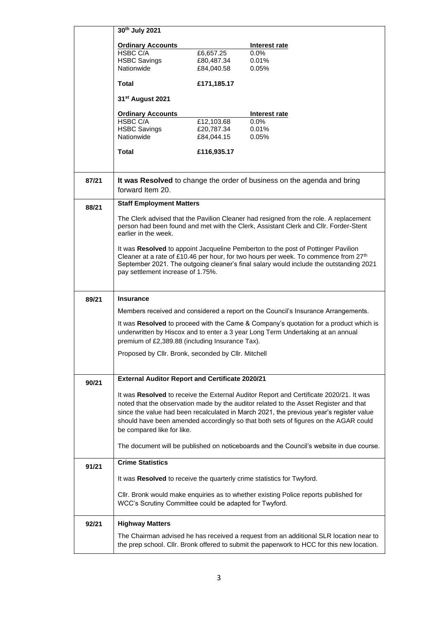|       | 30th July 2021                                                         |                          |                                                                                                                                                                                      |
|-------|------------------------------------------------------------------------|--------------------------|--------------------------------------------------------------------------------------------------------------------------------------------------------------------------------------|
|       | <b>Ordinary Accounts</b>                                               |                          | Interest rate                                                                                                                                                                        |
|       | HSBC C/A                                                               | £6,657.25                | 0.0%                                                                                                                                                                                 |
|       | <b>HSBC Savings</b><br>Nationwide                                      | £80,487.34<br>£84,040.58 | 0.01%<br>0.05%                                                                                                                                                                       |
|       |                                                                        |                          |                                                                                                                                                                                      |
|       | <b>Total</b>                                                           | £171,185.17              |                                                                                                                                                                                      |
|       | 31 <sup>st</sup> August 2021                                           |                          |                                                                                                                                                                                      |
|       | <b>Ordinary Accounts</b>                                               |                          | Interest rate                                                                                                                                                                        |
|       | HSBC C/A<br><b>HSBC Savings</b>                                        | £12,103.68<br>£20,787.34 | $0.0\%$<br>0.01%                                                                                                                                                                     |
|       | Nationwide                                                             | £84,044.15               | 0.05%                                                                                                                                                                                |
|       | <b>Total</b>                                                           | £116,935.17              |                                                                                                                                                                                      |
|       |                                                                        |                          |                                                                                                                                                                                      |
| 87/21 |                                                                        |                          | It was Resolved to change the order of business on the agenda and bring                                                                                                              |
|       | forward Item 20.                                                       |                          |                                                                                                                                                                                      |
| 88/21 | <b>Staff Employment Matters</b>                                        |                          |                                                                                                                                                                                      |
|       |                                                                        |                          | The Clerk advised that the Pavilion Cleaner had resigned from the role. A replacement                                                                                                |
|       | earlier in the week.                                                   |                          | person had been found and met with the Clerk, Assistant Clerk and Cllr. Forder-Stent                                                                                                 |
|       |                                                                        |                          | It was Resolved to appoint Jacqueline Pemberton to the post of Pottinger Pavilion                                                                                                    |
|       |                                                                        |                          | Cleaner at a rate of £10.46 per hour, for two hours per week. To commence from 27 <sup>th</sup>                                                                                      |
|       |                                                                        |                          | September 2021. The outgoing cleaner's final salary would include the outstanding 2021                                                                                               |
|       | pay settlement increase of 1.75%.                                      |                          |                                                                                                                                                                                      |
|       |                                                                        |                          |                                                                                                                                                                                      |
| 89/21 | <b>Insurance</b>                                                       |                          |                                                                                                                                                                                      |
|       |                                                                        |                          | Members received and considered a report on the Council's Insurance Arrangements.                                                                                                    |
|       |                                                                        |                          | It was Resolved to proceed with the Came & Company's quotation for a product which is<br>underwritten by Hiscox and to enter a 3 year Long Term Undertaking at an annual             |
|       |                                                                        |                          |                                                                                                                                                                                      |
|       | premium of £2,389.88 (including Insurance Tax).                        |                          |                                                                                                                                                                                      |
|       | Proposed by Cllr. Bronk, seconded by Cllr. Mitchell                    |                          |                                                                                                                                                                                      |
|       |                                                                        |                          |                                                                                                                                                                                      |
| 90/21 | <b>External Auditor Report and Certificate 2020/21</b>                 |                          |                                                                                                                                                                                      |
|       |                                                                        |                          |                                                                                                                                                                                      |
|       |                                                                        |                          | It was Resolved to receive the External Auditor Report and Certificate 2020/21. It was<br>noted that the observation made by the auditor related to the Asset Register and that      |
|       |                                                                        |                          | since the value had been recalculated in March 2021, the previous year's register value                                                                                              |
|       |                                                                        |                          | should have been amended accordingly so that both sets of figures on the AGAR could                                                                                                  |
|       | be compared like for like.                                             |                          |                                                                                                                                                                                      |
|       |                                                                        |                          | The document will be published on noticeboards and the Council's website in due course.                                                                                              |
| 91/21 | <b>Crime Statistics</b>                                                |                          |                                                                                                                                                                                      |
|       | It was Resolved to receive the quarterly crime statistics for Twyford. |                          |                                                                                                                                                                                      |
|       |                                                                        |                          |                                                                                                                                                                                      |
|       | WCC's Scrutiny Committee could be adapted for Twyford.                 |                          | CIIr. Bronk would make enquiries as to whether existing Police reports published for                                                                                                 |
|       |                                                                        |                          |                                                                                                                                                                                      |
| 92/21 | <b>Highway Matters</b>                                                 |                          |                                                                                                                                                                                      |
|       |                                                                        |                          | The Chairman advised he has received a request from an additional SLR location near to<br>the prep school. Cllr. Bronk offered to submit the paperwork to HCC for this new location. |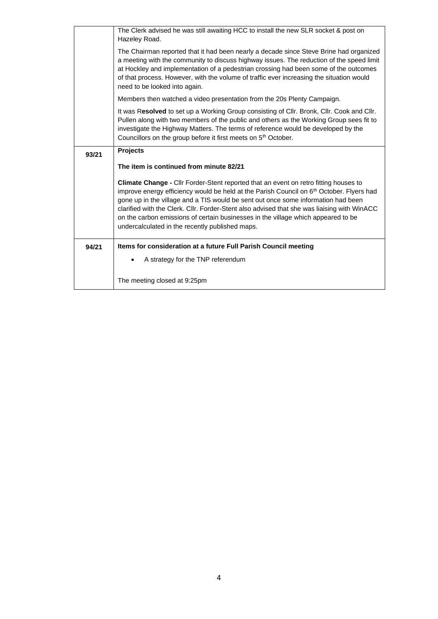|       | The Clerk advised he was still awaiting HCC to install the new SLR socket & post on<br>Hazeley Road.                                                                                                                                                                                                                                                                                                                                                                                                                            |
|-------|---------------------------------------------------------------------------------------------------------------------------------------------------------------------------------------------------------------------------------------------------------------------------------------------------------------------------------------------------------------------------------------------------------------------------------------------------------------------------------------------------------------------------------|
|       | The Chairman reported that it had been nearly a decade since Steve Brine had organized<br>a meeting with the community to discuss highway issues. The reduction of the speed limit<br>at Hockley and implementation of a pedestrian crossing had been some of the outcomes<br>of that process. However, with the volume of traffic ever increasing the situation would<br>need to be looked into again.                                                                                                                         |
|       | Members then watched a video presentation from the 20s Plenty Campaign.                                                                                                                                                                                                                                                                                                                                                                                                                                                         |
|       | It was Resolved to set up a Working Group consisting of Cllr. Bronk, Cllr. Cook and Cllr.<br>Pullen along with two members of the public and others as the Working Group sees fit to<br>investigate the Highway Matters. The terms of reference would be developed by the<br>Councillors on the group before it first meets on 5 <sup>th</sup> October.                                                                                                                                                                         |
| 93/21 | <b>Projects</b>                                                                                                                                                                                                                                                                                                                                                                                                                                                                                                                 |
|       | The item is continued from minute 82/21                                                                                                                                                                                                                                                                                                                                                                                                                                                                                         |
|       | <b>Climate Change - Cllr Forder-Stent reported that an event on retro fitting houses to</b><br>improve energy efficiency would be held at the Parish Council on 6 <sup>th</sup> October. Flyers had<br>gone up in the village and a TIS would be sent out once some information had been<br>clarified with the Clerk. Cllr. Forder-Stent also advised that she was liaising with WinACC<br>on the carbon emissions of certain businesses in the village which appeared to be<br>undercalculated in the recently published maps. |
| 94/21 | Items for consideration at a future Full Parish Council meeting                                                                                                                                                                                                                                                                                                                                                                                                                                                                 |
|       | A strategy for the TNP referendum                                                                                                                                                                                                                                                                                                                                                                                                                                                                                               |
|       | The meeting closed at 9:25pm                                                                                                                                                                                                                                                                                                                                                                                                                                                                                                    |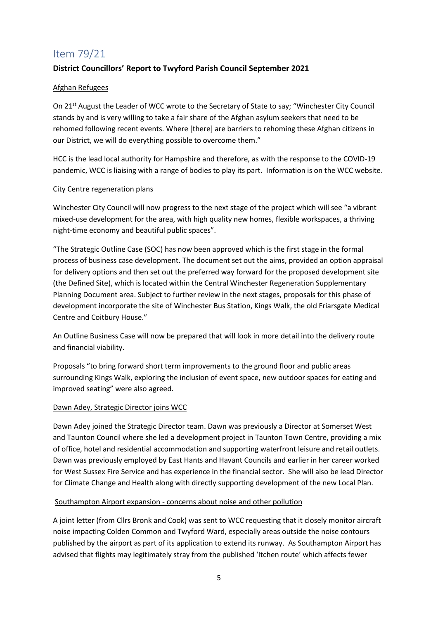## Item 79/21

### **District Councillors' Report to Twyford Parish Council September 2021**

#### Afghan Refugees

On 21st August the Leader of WCC wrote to the Secretary of State to say; "Winchester City Council stands by and is very willing to take a fair share of the Afghan asylum seekers that need to be rehomed following recent events. Where [there] are barriers to rehoming these Afghan citizens in our District, we will do everything possible to overcome them."

HCC is the lead local authority for Hampshire and therefore, as with the response to the COVID-19 pandemic, WCC is liaising with a range of bodies to play its part. Information is on the WCC website.

#### City Centre regeneration plans

Winchester City Council will now progress to the next stage of the project which will see "a vibrant mixed-use development for the area, with high quality new homes, flexible workspaces, a thriving night-time economy and beautiful public spaces".

"The Strategic Outline Case (SOC) has now been approved which is the first stage in the formal process of business case development. The document set out the aims, provided an option appraisal for delivery options and then set out the preferred way forward for the proposed development site (the Defined Site), which is located within the Central Winchester Regeneration Supplementary Planning Document area. Subject to further review in the next stages, proposals for this phase of development incorporate the site of Winchester Bus Station, Kings Walk, the old Friarsgate Medical Centre and Coitbury House."

An Outline Business Case will now be prepared that will look in more detail into the delivery route and financial viability.

Proposals "to bring forward short term improvements to the ground floor and public areas surrounding Kings Walk, exploring the inclusion of event space, new outdoor spaces for eating and improved seating" were also agreed.

#### Dawn Adey, Strategic Director joins WCC

Dawn Adey joined the Strategic Director team. Dawn was previously a Director at Somerset West and Taunton Council where she led a development project in Taunton Town Centre, providing a mix of office, hotel and residential accommodation and supporting waterfront leisure and retail outlets. Dawn was previously employed by East Hants and Havant Councils and earlier in her career worked for West Sussex Fire Service and has experience in the financial sector. She will also be lead Director for Climate Change and Health along with directly supporting development of the new Local Plan.

#### Southampton Airport expansion - concerns about noise and other pollution

A joint letter (from Cllrs Bronk and Cook) was sent to WCC requesting that it closely monitor aircraft noise impacting Colden Common and Twyford Ward, especially areas outside the noise contours published by the airport as part of its application to extend its runway. As Southampton Airport has advised that flights may legitimately stray from the published 'Itchen route' which affects fewer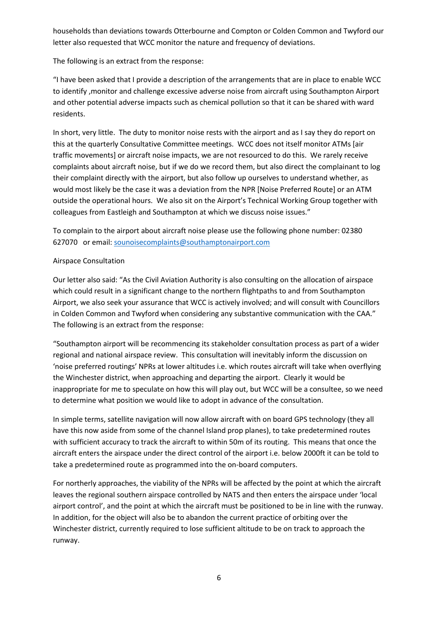households than deviations towards Otterbourne and Compton or Colden Common and Twyford our letter also requested that WCC monitor the nature and frequency of deviations.

The following is an extract from the response:

"I have been asked that I provide a description of the arrangements that are in place to enable WCC to identify ,monitor and challenge excessive adverse noise from aircraft using Southampton Airport and other potential adverse impacts such as chemical pollution so that it can be shared with ward residents.

In short, very little. The duty to monitor noise rests with the airport and as I say they do report on this at the quarterly Consultative Committee meetings. WCC does not itself monitor ATMs [air traffic movements] or aircraft noise impacts, we are not resourced to do this. We rarely receive complaints about aircraft noise, but if we do we record them, but also direct the complainant to log their complaint directly with the airport, but also follow up ourselves to understand whether, as would most likely be the case it was a deviation from the NPR [Noise Preferred Route] or an ATM outside the operational hours. We also sit on the Airport's Technical Working Group together with colleagues from Eastleigh and Southampton at which we discuss noise issues."

To complain to the airport about aircraft noise please use the following phone number: 02380 627070 or email: [sounoisecomplaints@southamptonairport.com](mailto:sounoisecomplaints@southamptonairport.com)

#### Airspace Consultation

Our letter also said: "As the Civil Aviation Authority is also consulting on the allocation of airspace which could result in a significant change to the northern flightpaths to and from Southampton Airport, we also seek your assurance that WCC is actively involved; and will consult with Councillors in Colden Common and Twyford when considering any substantive communication with the CAA." The following is an extract from the response:

"Southampton airport will be recommencing its stakeholder consultation process as part of a wider regional and national airspace review. This consultation will inevitably inform the discussion on 'noise preferred routings' NPRs at lower altitudes i.e. which routes aircraft will take when overflying the Winchester district, when approaching and departing the airport. Clearly it would be inappropriate for me to speculate on how this will play out, but WCC will be a consultee, so we need to determine what position we would like to adopt in advance of the consultation.

In simple terms, satellite navigation will now allow aircraft with on board GPS technology (they all have this now aside from some of the channel Island prop planes), to take predetermined routes with sufficient accuracy to track the aircraft to within 50m of its routing. This means that once the aircraft enters the airspace under the direct control of the airport i.e. below 2000ft it can be told to take a predetermined route as programmed into the on-board computers.

For northerly approaches, the viability of the NPRs will be affected by the point at which the aircraft leaves the regional southern airspace controlled by NATS and then enters the airspace under 'local airport control', and the point at which the aircraft must be positioned to be in line with the runway. In addition, for the object will also be to abandon the current practice of orbiting over the Winchester district, currently required to lose sufficient altitude to be on track to approach the runway.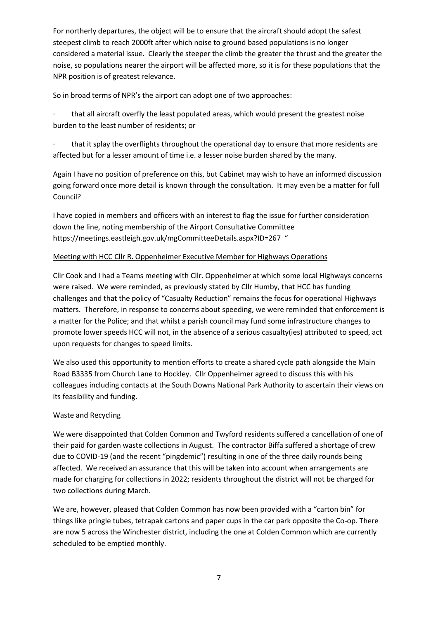For northerly departures, the object will be to ensure that the aircraft should adopt the safest steepest climb to reach 2000ft after which noise to ground based populations is no longer considered a material issue. Clearly the steeper the climb the greater the thrust and the greater the noise, so populations nearer the airport will be affected more, so it is for these populations that the NPR position is of greatest relevance.

So in broad terms of NPR's the airport can adopt one of two approaches:

that all aircraft overfly the least populated areas, which would present the greatest noise burden to the least number of residents; or

that it splay the overflights throughout the operational day to ensure that more residents are affected but for a lesser amount of time i.e. a lesser noise burden shared by the many.

Again I have no position of preference on this, but Cabinet may wish to have an informed discussion going forward once more detail is known through the consultation. It may even be a matter for full Council?

I have copied in members and officers with an interest to flag the issue for further consideration down the line, noting membership of the Airport Consultative Committee <https://meetings.eastleigh.gov.uk/mgCommitteeDetails.aspx?ID=267>"

#### Meeting with HCC Cllr R. Oppenheimer Executive Member for Highways Operations

Cllr Cook and I had a Teams meeting with Cllr. Oppenheimer at which some local Highways concerns were raised. We were reminded, as previously stated by Cllr Humby, that HCC has funding challenges and that the policy of "Casualty Reduction" remains the focus for operational Highways matters. Therefore, in response to concerns about speeding, we were reminded that enforcement is a matter for the Police; and that whilst a parish council may fund some infrastructure changes to promote lower speeds HCC will not, in the absence of a serious casualty(ies) attributed to speed, act upon requests for changes to speed limits.

We also used this opportunity to mention efforts to create a shared cycle path alongside the Main Road B3335 from Church Lane to Hockley. Cllr Oppenheimer agreed to discuss this with his colleagues including contacts at the South Downs National Park Authority to ascertain their views on its feasibility and funding.

#### Waste and Recycling

We were disappointed that Colden Common and Twyford residents suffered a cancellation of one of their paid for garden waste collections in August. The contractor Biffa suffered a shortage of crew due to COVID-19 (and the recent "pingdemic") resulting in one of the three daily rounds being affected. We received an assurance that this will be taken into account when arrangements are made for charging for collections in 2022; residents throughout the district will not be charged for two collections during March.

We are, however, pleased that Colden Common has now been provided with a "carton bin" for things like pringle tubes, tetrapak cartons and paper cups in the car park opposite the Co-op. There are now 5 across the Winchester district, including the one at Colden Common which are currently scheduled to be emptied monthly.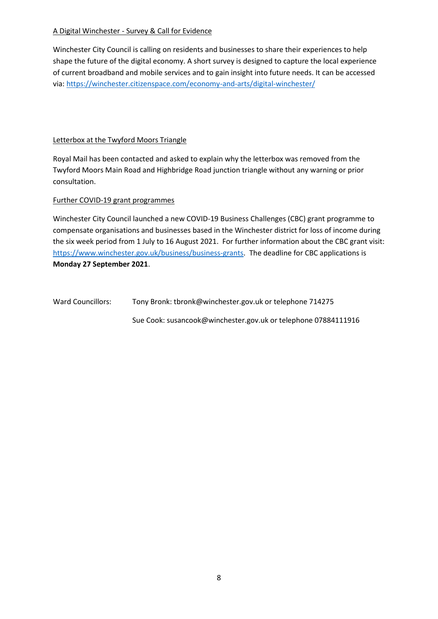#### A Digital Winchester - Survey & Call for Evidence

Winchester City Council is calling on residents and businesses to share their experiences to help shape the future of the digital economy. A short survey is designed to capture the local experience of current broadband and mobile services and to gain insight into future needs. It can be accessed via:<https://winchester.citizenspace.com/economy-and-arts/digital-winchester/>

#### Letterbox at the Twyford Moors Triangle

Royal Mail has been contacted and asked to explain why the letterbox was removed from the Twyford Moors Main Road and Highbridge Road junction triangle without any warning or prior consultation.

#### Further COVID-19 grant programmes

Winchester City Council launched a new COVID-19 Business Challenges (CBC) grant programme to compensate organisations and businesses based in the Winchester district for loss of income during the six week period from 1 July to 16 August 2021. For further information about the CBC grant visit: [https://www.winchester.gov.uk/business/business-grants.](https://www.winchester.gov.uk/business/business-grants) The deadline for CBC applications is **Monday 27 September 2021**.

Ward Councillors: Tony Bronk: tbronk@winchester.gov.uk or telephone 714275

Sue Cook: susancook@winchester.gov.uk or telephone 07884111916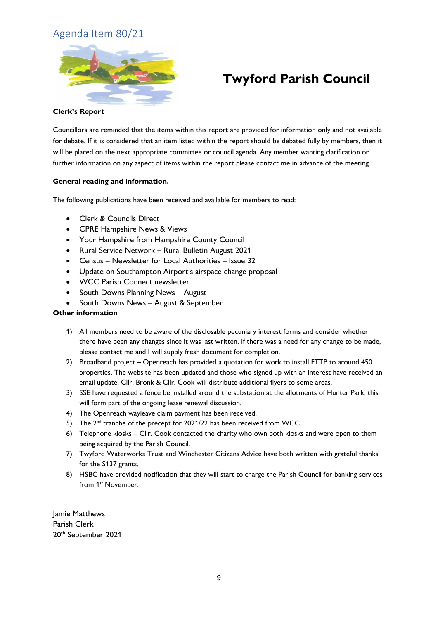## Agenda Item 80/21



## **Twyford Parish Council**

#### **Clerk's Report**

Councillors are reminded that the items within this report are provided for information only and not available for debate. If it is considered that an item listed within the report should be debated fully by members, then it will be placed on the next appropriate committee or council agenda. Any member wanting clarification or further information on any aspect of items within the report please contact me in advance of the meeting.

#### **General reading and information.**

The following publications have been received and available for members to read:

- Clerk & Councils Direct
- CPRE Hampshire News & Views
- Your Hampshire from Hampshire County Council
- Rural Service Network Rural Bulletin August 2021
- Census Newsletter for Local Authorities Issue 32
- Update on Southampton Airport's airspace change proposal
- WCC Parish Connect newsletter
- South Downs Planning News August
- South Downs News August & September

#### **Other information**

- 1) All members need to be aware of the disclosable pecuniary interest forms and consider whether there have been any changes since it was last written. If there was a need for any change to be made, please contact me and I will supply fresh document for completion.
- 2) Broadband project Openreach has provided a quotation for work to install FTTP to around 450 properties. The website has been updated and those who signed up with an interest have received an email update. Cllr. Bronk & Cllr. Cook will distribute additional flyers to some areas.
- 3) SSE have requested a fence be installed around the substation at the allotments of Hunter Park, this will form part of the ongoing lease renewal discussion.
- 4) The Openreach wayleave claim payment has been received.
- 5) The 2<sup>nd</sup> tranche of the precept for 2021/22 has been received from WCC.
- 6) Telephone kiosks Cllr. Cook contacted the charity who own both kiosks and were open to them being acquired by the Parish Council.
- 7) Twyford Waterworks Trust and Winchester Citizens Advice have both written with grateful thanks for the S137 grants.
- 8) HSBC have provided notification that they will start to charge the Parish Council for banking services from 1<sup>st</sup> November.

Jamie Matthews Parish Clerk 20th September 2021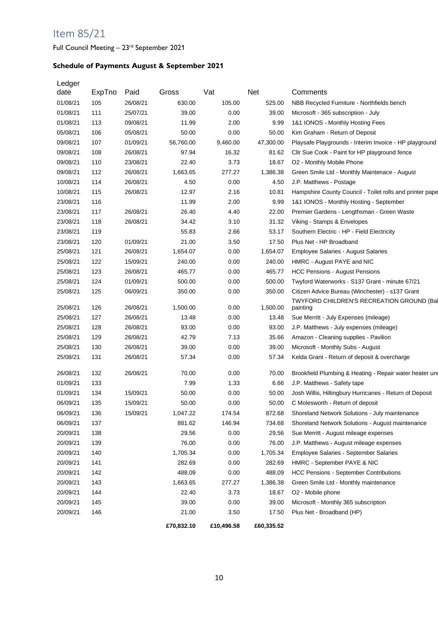## Item 85/21

Full Council Meeting - 23<sup>rd</sup> September 2021

## **Schedule of Payments August & September 2021**

| Ledger<br>date | ExpTno | Paid     | Gross      | Vat        | Net        | Comments                                                 |
|----------------|--------|----------|------------|------------|------------|----------------------------------------------------------|
| 01/08/21       | 105    | 26/08/21 | 630.00     | 105.00     | 525.00     | NBB Recycled Furniture - Northfields bench               |
| 01/08/21       | 111    | 25/07/21 | 39.00      | 0.00       | 39.00      | Microsoft - 365 subscription - July                      |
| 01/08/21       | 113    | 09/08/21 | 11.99      | 2.00       | 9.99       | 1&1 IONOS - Monthly Hosting Fees                         |
| 05/08/21       | 106    | 05/08/21 | 50.00      | 0.00       | 50.00      | Kim Graham - Return of Deposit                           |
| 09/08/21       | 107    | 01/09/21 | 56,760.00  | 9,460.00   | 47,300.00  | Playsafe Playgrounds - Interim Invoice - HP playground   |
| 09/08/21       | 108    | 26/08/21 | 97.94      | 16.32      | 81.62      | Cllr Sue Cook - Paint for HP playground fence            |
| 09/08/21       | 110    | 23/08/21 | 22.40      | 3.73       | 18.67      | O2 - Monthly Mobile Phone                                |
| 09/08/21       | 112    | 26/08/21 | 1,663.65   | 277.27     | 1,386.38   | Green Smile Ltd - Monthly Maintenace - August            |
| 10/08/21       | 114    | 26/08/21 | 4.50       | 0.00       | 4.50       | J.P. Matthews - Postage                                  |
| 10/08/21       | 115    | 26/08/21 | 12.97      | 2.16       | 10.81      | Hampshire County Council - Toilet rolls and printer pape |
| 23/08/21       | 116    |          | 11.99      | 2.00       | 9.99       | 1&1 IONOS - Monthly Hosting - September                  |
| 23/08/21       | 117    | 26/08/21 | 26.40      | 4.40       | 22.00      | Premier Gardens - Lengthsman - Green Waste               |
| 23/08/21       | 118    | 26/08/21 | 34.42      | 3.10       | 31.32      | Viking - Stamps & Envelopes                              |
| 23/08/21       | 119    |          | 55.83      | 2.66       | 53.17      | Southern Electric - HP - Field Electricity               |
| 23/08/21       | 120    | 01/09/21 | 21.00      | 3.50       | 17.50      | Plus Net - HP Broadband                                  |
| 25/08/21       | 121    | 26/08/21 | 1,654.07   | 0.00       | 1,654.07   | <b>Employee Salaries - August Salaries</b>               |
| 25/08/21       | 122    | 15/09/21 | 240.00     | 0.00       | 240.00     | HMRC - August PAYE and NIC                               |
| 25/08/21       | 123    | 26/08/21 | 465.77     | 0.00       | 465.77     | <b>HCC Pensions - August Pensions</b>                    |
| 25/08/21       | 124    | 01/09/21 | 500.00     | 0.00       | 500.00     | Twyford Waterworks - S137 Grant - minute 67/21           |
| 25/08/21       | 125    | 06/09/21 | 350.00     | 0.00       | 350.00     | Citizen Advice Bureau (Winchester) - s137 Grant          |
|                |        |          |            |            |            | TWYFORD CHILDREN'S RECREATION GROUND (Bal                |
| 25/08/21       | 126    | 26/08/21 | 1,500.00   | 0.00       | 1,500.00   | painting                                                 |
| 25/08/21       | 127    | 26/08/21 | 13.48      | 0.00       | 13.48      | Sue Merritt - July Expenses (mileage)                    |
| 25/08/21       | 128    | 26/08/21 | 93.00      | 0.00       | 93.00      | J.P. Matthews - July expenses (mileage)                  |
| 25/08/21       | 129    | 26/08/21 | 42.79      | 7.13       | 35.66      | Amazon - Cleaning supplies - Pavilion                    |
| 25/08/21       | 130    | 26/08/21 | 39.00      | 0.00       | 39.00      | Microsoft - Monthly Subs - August                        |
| 25/08/21       | 131    | 26/08/21 | 57.34      | 0.00       | 57.34      | Kelda Grant - Return of deposit & overcharge             |
| 26/08/21       | 132    | 26/08/21 | 70.00      | 0.00       | 70.00      | Brookfield Plumbing & Heating - Repair water heater und  |
| 01/09/21       | 133    |          | 7.99       | 1.33       | 6.66       | J.P. Matthews - Safety tape                              |
| 01/09/21       | 134    | 15/09/21 | 50.00      | 0.00       | 50.00      | Josh Willis, Hiltingbury Hurricanes - Return of Deposit  |
| 06/09/21       | 135    | 15/09/21 | 50.00      | 0.00       | 50.00      | C Molesworth - Return of deposit                         |
| 06/09/21       | 136    | 15/09/21 | 1,047.22   | 174.54     | 872.68     | Shoreland Network Solutions - July maintenance           |
| 06/09/21       | 137    |          | 881.62     | 146.94     | 734.68     | Shoreland Network Solutions - August maintenance         |
| 20/09/21       | 138    |          | 29.56      | 0.00       | 29.56      | Sue Merritt - August mileage expenses                    |
| 20/09/21       | 139    |          | 76.00      | 0.00       | 76.00      | J.P. Matthews - August mileage expenses                  |
| 20/09/21       | 140    |          | 1,705.34   | 0.00       | 1,705.34   | <b>Employee Salaries - September Salaries</b>            |
| 20/09/21       | 141    |          | 282.69     | 0.00       | 282.69     | HMRC - September PAYE & NIC                              |
| 20/09/21       | 142    |          | 488.09     | 0.00       | 488.09     | <b>HCC Pensions - September Contributions</b>            |
| 20/09/21       | 143    |          | 1,663.65   | 277.27     | 1,386.38   | Green Smile Ltd - Monthly maintenance                    |
| 20/09/21       | 144    |          | 22.40      | 3.73       | 18.67      | O2 - Mobile phone                                        |
| 20/09/21       | 145    |          | 39.00      | 0.00       | 39.00      | Microsoft - Monthly 365 subscription                     |
| 20/09/21       | 146    |          | 21.00      | 3.50       | 17.50      | Plus Net - Broadband (HP)                                |
|                |        |          | £70,832.10 | £10,496.58 | £60,335.52 |                                                          |